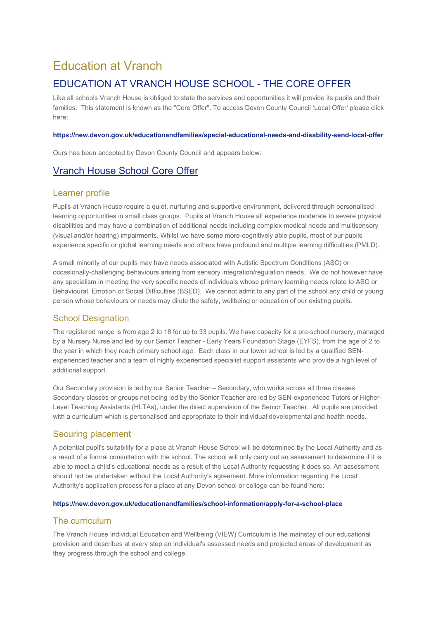# Education at Vranch

# EDUCATION AT VRANCH HOUSE SCHOOL - THE CORE OFFER

Like all schools Vranch House is obliged to state the services and opportunities it will provide its pupils and their families. This statement is known as the "Core Offer". To access Devon County Council 'Local Offer' please click here:

#### **https://new.devon.gov.uk/educationandfamilies/special-educational-needs-and-disability-send-local-offer**

Ours has been accepted by Devon County Council and appears below:

# Vranch House School Core Offer

#### Learner profile

Pupils at Vranch House require a quiet, nurturing and supportive environment, delivered through personalised learning opportunities in small class groups. Pupils at Vranch House all experience moderate to severe physical disabilities and may have a combination of additional needs including complex medical needs and multisensory (visual and/or hearing) impairments. Whilst we have some more-cognitively able pupils, most of our pupils experience specific or global learning needs and others have profound and multiple learning difficulties (PMLD).

A small minority of our pupils may have needs associated with Autistic Spectrum Conditions (ASC) or occasionally-challenging behaviours arising from sensory integration/regulation needs. We do not however have any specialism in meeting the very specific needs of individuals whose primary learning needs relate to ASC or Behavioural, Emotion or Social Difficulties (BSED). We cannot admit to any part of the school any child or young person whose behaviours or needs may dilute the safety, wellbeing or education of our existing pupils.

# School Designation

The registered range is from age 2 to 18 for up to 33 pupils. We have capacity for a pre-school nursery, managed by a Nursery Nurse and led by our Senior Teacher - Early Years Foundation Stage (EYFS), from the age of 2 to the year in which they reach primary school age. Each class in our lower school is led by a qualified SENexperienced teacher and a team of highly experienced specialist support assistants who provide a high level of additional support.

Our Secondary provision is led by our Senior Teacher – Secondary, who works across all three classes. Secondary classes or groups not being led by the Senior Teacher are led by SEN-experienced Tutors or Higher-Level Teaching Assistants (HLTAs), under the direct supervision of the Senior Teacher. All pupils are provided with a curriculum which is personalised and appropriate to their individual developmental and health needs.

## Securing placement

A potential pupil's suitability for a place at Vranch House School will be determined by the Local Authority and as a result of a formal consultation with the school. The school will only carry out an assessment to determine if it is able to meet a child's educational needs as a result of the Local Authority requesting it does so. An assessment should not be undertaken without the Local Authority's agreement. More information regarding the Local Authority's application process for a place at any Devon school or college can be found here:

#### **https://new.devon.gov.uk/educationandfamilies/school-information/apply-for-a-school-place**

## The curriculum

The Vranch House Individual Education and Wellbeing (VIEW) Curriculum is the mainstay of our educational provision and describes at every step an individual's assessed needs and projected areas of development as they progress through the school and college.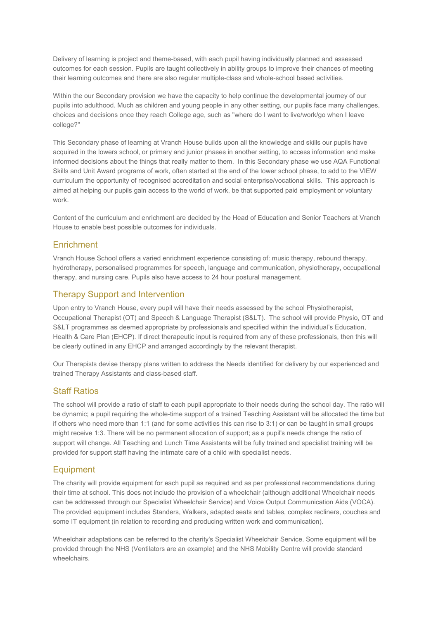Delivery of learning is project and theme-based, with each pupil having individually planned and assessed outcomes for each session. Pupils are taught collectively in ability groups to improve their chances of meeting their learning outcomes and there are also regular multiple-class and whole-school based activities.

Within the our Secondary provision we have the capacity to help continue the developmental journey of our pupils into adulthood. Much as children and young people in any other setting, our pupils face many challenges, choices and decisions once they reach College age, such as "where do I want to live/work/go when I leave college?"

This Secondary phase of learning at Vranch House builds upon all the knowledge and skills our pupils have acquired in the lowers school, or primary and junior phases in another setting, to access information and make informed decisions about the things that really matter to them. In this Secondary phase we use AQA Functional Skills and Unit Award programs of work, often started at the end of the lower school phase, to add to the VIEW curriculum the opportunity of recognised accreditation and social enterprise/vocational skills. This approach is aimed at helping our pupils gain access to the world of work, be that supported paid employment or voluntary work.

Content of the curriculum and enrichment are decided by the Head of Education and Senior Teachers at Vranch House to enable best possible outcomes for individuals.

## **Enrichment**

Vranch House School offers a varied enrichment experience consisting of: music therapy, rebound therapy, hydrotherapy, personalised programmes for speech, language and communication, physiotherapy, occupational therapy, and nursing care. Pupils also have access to 24 hour postural management.

# Therapy Support and Intervention

Upon entry to Vranch House, every pupil will have their needs assessed by the school Physiotherapist, Occupational Therapist (OT) and Speech & Language Therapist (S&LT). The school will provide Physio, OT and S&LT programmes as deemed appropriate by professionals and specified within the individual's Education, Health & Care Plan (EHCP). If direct therapeutic input is required from any of these professionals, then this will be clearly outlined in any EHCP and arranged accordingly by the relevant therapist.

Our Therapists devise therapy plans written to address the Needs identified for delivery by our experienced and trained Therapy Assistants and class-based staff.

# Staff Ratios

The school will provide a ratio of staff to each pupil appropriate to their needs during the school day. The ratio will be dynamic; a pupil requiring the whole-time support of a trained Teaching Assistant will be allocated the time but if others who need more than 1:1 (and for some activities this can rise to 3:1) or can be taught in small groups might receive 1:3. There will be no permanent allocation of support; as a pupil's needs change the ratio of support will change. All Teaching and Lunch Time Assistants will be fully trained and specialist training will be provided for support staff having the intimate care of a child with specialist needs.

# **Equipment**

The charity will provide equipment for each pupil as required and as per professional recommendations during their time at school. This does not include the provision of a wheelchair (although additional Wheelchair needs can be addressed through our Specialist Wheelchair Service) and Voice Output Communication Aids (VOCA). The provided equipment includes Standers, Walkers, adapted seats and tables, complex recliners, couches and some IT equipment (in relation to recording and producing written work and communication).

Wheelchair adaptations can be referred to the charity's Specialist Wheelchair Service. Some equipment will be provided through the NHS (Ventilators are an example) and the NHS Mobility Centre will provide standard wheelchairs.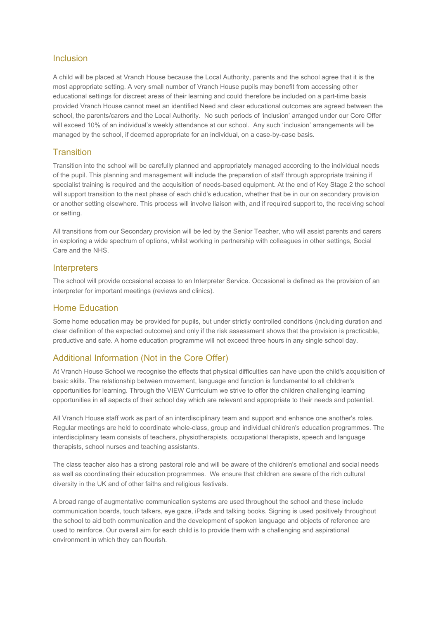#### Inclusion

A child will be placed at Vranch House because the Local Authority, parents and the school agree that it is the most appropriate setting. A very small number of Vranch House pupils may benefit from accessing other educational settings for discreet areas of their learning and could therefore be included on a part-time basis provided Vranch House cannot meet an identified Need and clear educational outcomes are agreed between the school, the parents/carers and the Local Authority. No such periods of 'inclusion' arranged under our Core Offer will exceed 10% of an individual's weekly attendance at our school. Any such 'inclusion' arrangements will be managed by the school, if deemed appropriate for an individual, on a case-by-case basis.

#### **Transition**

Transition into the school will be carefully planned and appropriately managed according to the individual needs of the pupil. This planning and management will include the preparation of staff through appropriate training if specialist training is required and the acquisition of needs-based equipment. At the end of Key Stage 2 the school will support transition to the next phase of each child's education, whether that be in our on secondary provision or another setting elsewhere. This process will involve liaison with, and if required support to, the receiving school or setting.

All transitions from our Secondary provision will be led by the Senior Teacher, who will assist parents and carers in exploring a wide spectrum of options, whilst working in partnership with colleagues in other settings, Social Care and the NHS.

#### **Interpreters**

The school will provide occasional access to an Interpreter Service. Occasional is defined as the provision of an interpreter for important meetings (reviews and clinics).

#### Home Education

Some home education may be provided for pupils, but under strictly controlled conditions (including duration and clear definition of the expected outcome) and only if the risk assessment shows that the provision is practicable, productive and safe. A home education programme will not exceed three hours in any single school day.

# Additional Information (Not in the Core Offer)

At Vranch House School we recognise the effects that physical difficulties can have upon the child's acquisition of basic skills. The relationship between movement, language and function is fundamental to all children's opportunities for learning. Through the VIEW Curriculum we strive to offer the children challenging learning opportunities in all aspects of their school day which are relevant and appropriate to their needs and potential.

All Vranch House staff work as part of an interdisciplinary team and support and enhance one another's roles. Regular meetings are held to coordinate whole-class, group and individual children's education programmes. The interdisciplinary team consists of teachers, physiotherapists, occupational therapists, speech and language therapists, school nurses and teaching assistants.

The class teacher also has a strong pastoral role and will be aware of the children's emotional and social needs as well as coordinating their education programmes. We ensure that children are aware of the rich cultural diversity in the UK and of other faiths and religious festivals.

A broad range of augmentative communication systems are used throughout the school and these include communication boards, touch talkers, eye gaze, iPads and talking books. Signing is used positively throughout the school to aid both communication and the development of spoken language and objects of reference are used to reinforce. Our overall aim for each child is to provide them with a challenging and aspirational environment in which they can flourish.